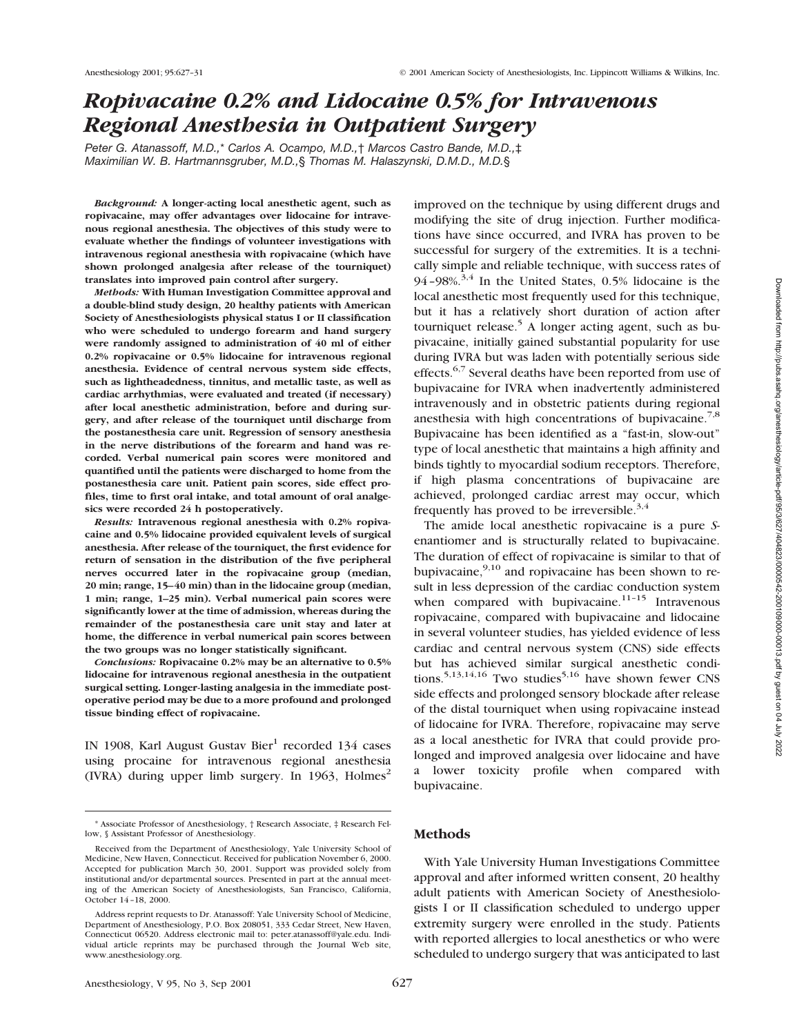# *Ropivacaine 0.2% and Lidocaine 0.5% for Intravenous Regional Anesthesia in Outpatient Surgery*

*Peter G. Atanassoff, M.D.,*\* *Carlos A. Ocampo, M.D.,*† *Marcos Castro Bande, M.D.,*‡ *Maximilian W. B. Hartmannsgruber, M.D.,*§ *Thomas M. Halaszynski, D.M.D., M.D.*§

*Background:* **A longer-acting local anesthetic agent, such as ropivacaine, may offer advantages over lidocaine for intravenous regional anesthesia. The objectives of this study were to evaluate whether the findings of volunteer investigations with intravenous regional anesthesia with ropivacaine (which have shown prolonged analgesia after release of the tourniquet) translates into improved pain control after surgery.**

*Methods:* **With Human Investigation Committee approval and a double-blind study design, 20 healthy patients with American Society of Anesthesiologists physical status I or II classification who were scheduled to undergo forearm and hand surgery were randomly assigned to administration of 40 ml of either 0.2% ropivacaine or 0.5% lidocaine for intravenous regional anesthesia. Evidence of central nervous system side effects, such as lightheadedness, tinnitus, and metallic taste, as well as cardiac arrhythmias, were evaluated and treated (if necessary) after local anesthetic administration, before and during surgery, and after release of the tourniquet until discharge from the postanesthesia care unit. Regression of sensory anesthesia in the nerve distributions of the forearm and hand was recorded. Verbal numerical pain scores were monitored and quantified until the patients were discharged to home from the postanesthesia care unit. Patient pain scores, side effect profiles, time to first oral intake, and total amount of oral analgesics were recorded 24 h postoperatively.**

*Results:* **Intravenous regional anesthesia with 0.2% ropivacaine and 0.5% lidocaine provided equivalent levels of surgical anesthesia. After release of the tourniquet, the first evidence for return of sensation in the distribution of the five peripheral nerves occurred later in the ropivacaine group (median, 20 min; range, 15–40 min) than in the lidocaine group (median, 1 min; range, 1–25 min). Verbal numerical pain scores were significantly lower at the time of admission, whereas during the remainder of the postanesthesia care unit stay and later at home, the difference in verbal numerical pain scores between the two groups was no longer statistically significant.**

*Conclusions:* **Ropivacaine 0.2% may be an alternative to 0.5% lidocaine for intravenous regional anesthesia in the outpatient surgical setting. Longer-lasting analgesia in the immediate postoperative period may be due to a more profound and prolonged tissue binding effect of ropivacaine.**

IN 1908, Karl August Gustav Bier<sup>1</sup> recorded 134 cases using procaine for intravenous regional anesthesia (IVRA) during upper limb surgery. In 1963, Holmes<sup>2</sup> improved on the technique by using different drugs and modifying the site of drug injection. Further modifications have since occurred, and IVRA has proven to be successful for surgery of the extremities. It is a technically simple and reliable technique, with success rates of 94–98%. $3,4$  In the United States, 0.5% lidocaine is the local anesthetic most frequently used for this technique, but it has a relatively short duration of action after tourniquet release.<sup>5</sup> A longer acting agent, such as bupivacaine, initially gained substantial popularity for use during IVRA but was laden with potentially serious side effects.<sup>6,7</sup> Several deaths have been reported from use of bupivacaine for IVRA when inadvertently administered intravenously and in obstetric patients during regional anesthesia with high concentrations of bupivacaine.<sup>7,8</sup> Bupivacaine has been identified as a "fast-in, slow-out" type of local anesthetic that maintains a high affinity and binds tightly to myocardial sodium receptors. Therefore, if high plasma concentrations of bupivacaine are achieved, prolonged cardiac arrest may occur, which frequently has proved to be irreversible.<sup>3,4</sup>

The amide local anesthetic ropivacaine is a pure *S*enantiomer and is structurally related to bupivacaine. The duration of effect of ropivacaine is similar to that of bupivacaine,  $9,10$  and ropivacaine has been shown to result in less depression of the cardiac conduction system when compared with bupivacaine. $11-15$  Intravenous ropivacaine, compared with bupivacaine and lidocaine in several volunteer studies, has yielded evidence of less cardiac and central nervous system (CNS) side effects but has achieved similar surgical anesthetic conditions.<sup>5,13,14,16</sup> Two studies<sup>5,16</sup> have shown fewer CNS side effects and prolonged sensory blockade after release of the distal tourniquet when using ropivacaine instead of lidocaine for IVRA. Therefore, ropivacaine may serve as a local anesthetic for IVRA that could provide prolonged and improved analgesia over lidocaine and have a lower toxicity profile when compared with bupivacaine.

## **Methods**

With Yale University Human Investigations Committee approval and after informed written consent, 20 healthy adult patients with American Society of Anesthesiologists I or II classification scheduled to undergo upper extremity surgery were enrolled in the study. Patients with reported allergies to local anesthetics or who were scheduled to undergo surgery that was anticipated to last

<sup>\*</sup> Associate Professor of Anesthesiology, † Research Associate, ‡ Research Fellow, § Assistant Professor of Anesthesiology.

Received from the Department of Anesthesiology, Yale University School of Medicine, New Haven, Connecticut. Received for publication November 6, 2000. Accepted for publication March 30, 2001. Support was provided solely from institutional and/or departmental sources. Presented in part at the annual meeting of the American Society of Anesthesiologists, San Francisco, California, October 14–18, 2000.

Address reprint requests to Dr. Atanassoff: Yale University School of Medicine, Department of Anesthesiology, P.O. Box 208051, 333 Cedar Street, New Haven, Connecticut 06520. Address electronic mail to: peter.atanassoff@yale.edu. Individual article reprints may be purchased through the Journal Web site, www.anesthesiology.org.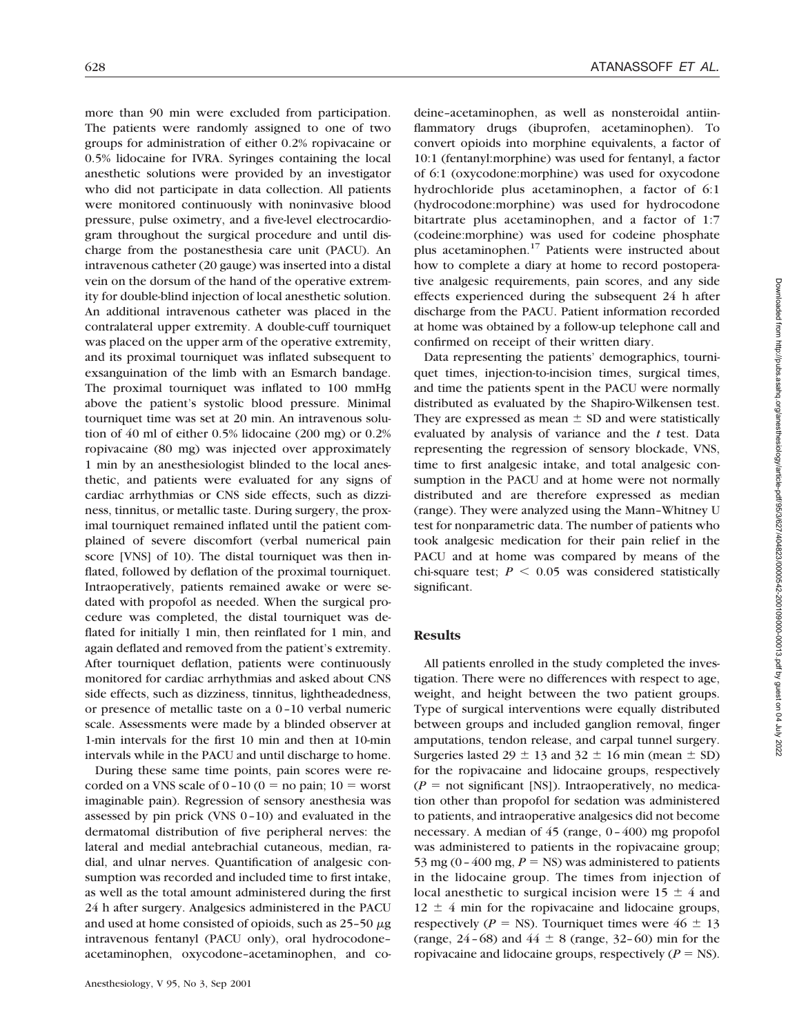more than 90 min were excluded from participation. The patients were randomly assigned to one of two groups for administration of either 0.2% ropivacaine or 0.5% lidocaine for IVRA. Syringes containing the local anesthetic solutions were provided by an investigator who did not participate in data collection. All patients were monitored continuously with noninvasive blood pressure, pulse oximetry, and a five-level electrocardiogram throughout the surgical procedure and until discharge from the postanesthesia care unit (PACU). An intravenous catheter (20 gauge) was inserted into a distal vein on the dorsum of the hand of the operative extremity for double-blind injection of local anesthetic solution. An additional intravenous catheter was placed in the contralateral upper extremity. A double-cuff tourniquet was placed on the upper arm of the operative extremity, and its proximal tourniquet was inflated subsequent to exsanguination of the limb with an Esmarch bandage. The proximal tourniquet was inflated to 100 mmHg above the patient's systolic blood pressure. Minimal tourniquet time was set at 20 min. An intravenous solution of 40 ml of either 0.5% lidocaine (200 mg) or 0.2% ropivacaine (80 mg) was injected over approximately 1 min by an anesthesiologist blinded to the local anesthetic, and patients were evaluated for any signs of cardiac arrhythmias or CNS side effects, such as dizziness, tinnitus, or metallic taste. During surgery, the proximal tourniquet remained inflated until the patient complained of severe discomfort (verbal numerical pain score [VNS] of 10). The distal tourniquet was then inflated, followed by deflation of the proximal tourniquet. Intraoperatively, patients remained awake or were sedated with propofol as needed. When the surgical procedure was completed, the distal tourniquet was deflated for initially 1 min, then reinflated for 1 min, and again deflated and removed from the patient's extremity. After tourniquet deflation, patients were continuously monitored for cardiac arrhythmias and asked about CNS side effects, such as dizziness, tinnitus, lightheadedness, or presence of metallic taste on a 0–10 verbal numeric scale. Assessments were made by a blinded observer at 1-min intervals for the first 10 min and then at 10-min intervals while in the PACU and until discharge to home.

During these same time points, pain scores were recorded on a VNS scale of  $0-10$  ( $0 =$  no pain;  $10 =$  worst imaginable pain). Regression of sensory anesthesia was assessed by pin prick (VNS 0–10) and evaluated in the dermatomal distribution of five peripheral nerves: the lateral and medial antebrachial cutaneous, median, radial, and ulnar nerves. Quantification of analgesic consumption was recorded and included time to first intake, as well as the total amount administered during the first 24 h after surgery. Analgesics administered in the PACU and used at home consisted of opioids, such as  $25-50 \mu g$ intravenous fentanyl (PACU only), oral hydrocodone– acetaminophen, oxycodone–acetaminophen, and codeine–acetaminophen, as well as nonsteroidal antiinflammatory drugs (ibuprofen, acetaminophen). To convert opioids into morphine equivalents, a factor of 10:1 (fentanyl:morphine) was used for fentanyl, a factor of 6:1 (oxycodone:morphine) was used for oxycodone hydrochloride plus acetaminophen, a factor of 6:1 (hydrocodone:morphine) was used for hydrocodone bitartrate plus acetaminophen, and a factor of 1:7 (codeine:morphine) was used for codeine phosphate plus acetaminophen.17 Patients were instructed about how to complete a diary at home to record postoperative analgesic requirements, pain scores, and any side effects experienced during the subsequent 24 h after discharge from the PACU. Patient information recorded at home was obtained by a follow-up telephone call and confirmed on receipt of their written diary.

Data representing the patients' demographics, tourniquet times, injection-to-incision times, surgical times, and time the patients spent in the PACU were normally distributed as evaluated by the Shapiro-Wilkensen test. They are expressed as mean  $\pm$  SD and were statistically evaluated by analysis of variance and the *t* test. Data representing the regression of sensory blockade, VNS, time to first analgesic intake, and total analgesic consumption in the PACU and at home were not normally distributed and are therefore expressed as median (range). They were analyzed using the Mann–Whitney U test for nonparametric data. The number of patients who took analgesic medication for their pain relief in the PACU and at home was compared by means of the chi-square test;  $P < 0.05$  was considered statistically significant.

### **Results**

All patients enrolled in the study completed the investigation. There were no differences with respect to age, weight, and height between the two patient groups. Type of surgical interventions were equally distributed between groups and included ganglion removal, finger amputations, tendon release, and carpal tunnel surgery. Surgeries lasted 29  $\pm$  13 and 32  $\pm$  16 min (mean  $\pm$  SD) for the ropivacaine and lidocaine groups, respectively  $(P =$  not significant [NS]). Intraoperatively, no medication other than propofol for sedation was administered to patients, and intraoperative analgesics did not become necessary. A median of 45 (range, 0–400) mg propofol was administered to patients in the ropivacaine group; 53 mg (0 – 400 mg,  $P = NS$ ) was administered to patients in the lidocaine group. The times from injection of local anesthetic to surgical incision were  $15 \pm 4$  and  $12 \pm 4$  min for the ropivacaine and lidocaine groups, respectively ( $P = NS$ ). Tourniquet times were  $46 \pm 13$ (range,  $24-68$ ) and  $44 \pm 8$  (range, 32–60) min for the ropivacaine and lidocaine groups, respectively  $(P = NS)$ .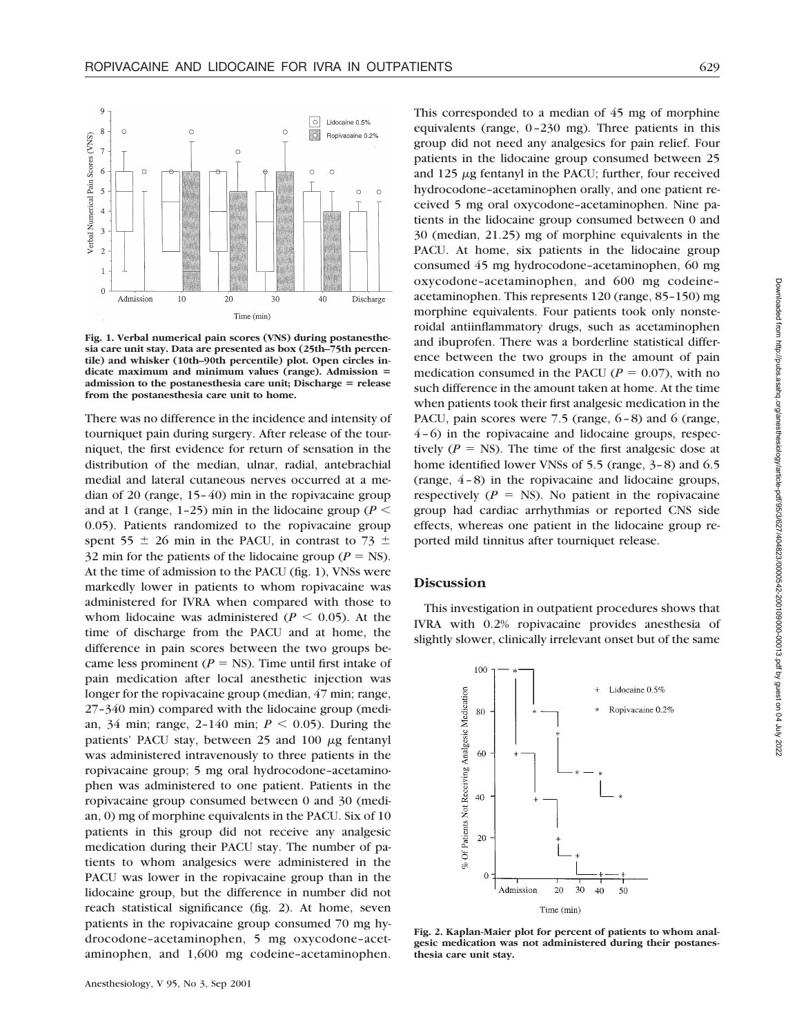

**Fig. 1. Verbal numerical pain scores (VNS) during postanesthesia care unit stay. Data are presented as box (25th–75th percentile) and whisker (10th–90th percentile) plot. Open circles in**dicate maximum and minimum values (range). Admission = **admission to the postanesthesia care unit; Discharge = release from the postanesthesia care unit to home.**

There was no difference in the incidence and intensity of tourniquet pain during surgery. After release of the tourniquet, the first evidence for return of sensation in the distribution of the median, ulnar, radial, antebrachial medial and lateral cutaneous nerves occurred at a median of 20 (range, 15–40) min in the ropivacaine group and at 1 (range, 1–25) min in the lidocaine group ( $P \leq$ 0.05). Patients randomized to the ropivacaine group spent 55  $\pm$  26 min in the PACU, in contrast to 73  $\pm$ 32 min for the patients of the lidocaine group ( $P = NS$ ). At the time of admission to the PACU (fig. 1), VNSs were markedly lower in patients to whom ropivacaine was administered for IVRA when compared with those to whom lidocaine was administered ( $P \leq 0.05$ ). At the time of discharge from the PACU and at home, the difference in pain scores between the two groups became less prominent ( $P =$  NS). Time until first intake of pain medication after local anesthetic injection was longer for the ropivacaine group (median, 47 min; range, 27–340 min) compared with the lidocaine group (median, 34 min; range, 2-140 min;  $P < 0.05$ ). During the patients' PACU stay, between 25 and 100  $\mu$ g fentanyl was administered intravenously to three patients in the ropivacaine group; 5 mg oral hydrocodone–acetaminophen was administered to one patient. Patients in the ropivacaine group consumed between 0 and 30 (median, 0) mg of morphine equivalents in the PACU. Six of 10 patients in this group did not receive any analgesic medication during their PACU stay. The number of patients to whom analgesics were administered in the PACU was lower in the ropivacaine group than in the lidocaine group, but the difference in number did not reach statistical significance (fig. 2). At home, seven patients in the ropivacaine group consumed 70 mg hydrocodone–acetaminophen, 5 mg oxycodone–acetaminophen, and 1,600 mg codeine–acetaminophen.

This corresponded to a median of 45 mg of morphine equivalents (range, 0–230 mg). Three patients in this group did not need any analgesics for pain relief. Four patients in the lidocaine group consumed between 25 and  $125 \mu$ g fentanyl in the PACU; further, four received hydrocodone–acetaminophen orally, and one patient received 5 mg oral oxycodone–acetaminophen. Nine patients in the lidocaine group consumed between 0 and 30 (median, 21.25) mg of morphine equivalents in the PACU. At home, six patients in the lidocaine group consumed 45 mg hydrocodone–acetaminophen, 60 mg oxycodone–acetaminophen, and 600 mg codeine– acetaminophen. This represents 120 (range, 85–150) mg morphine equivalents. Four patients took only nonsteroidal antiinflammatory drugs, such as acetaminophen and ibuprofen. There was a borderline statistical difference between the two groups in the amount of pain medication consumed in the PACU ( $P = 0.07$ ), with no such difference in the amount taken at home. At the time when patients took their first analgesic medication in the PACU, pain scores were 7.5 (range, 6–8) and 6 (range, 4–6) in the ropivacaine and lidocaine groups, respectively  $(P = NS)$ . The time of the first analgesic dose at home identified lower VNSs of 5.5 (range, 3–8) and 6.5 (range, 4–8) in the ropivacaine and lidocaine groups, respectively  $(P = NS)$ . No patient in the ropivacaine group had cardiac arrhythmias or reported CNS side effects, whereas one patient in the lidocaine group reported mild tinnitus after tourniquet release.

### **Discussion**

This investigation in outpatient procedures shows that IVRA with 0.2% ropivacaine provides anesthesia of slightly slower, clinically irrelevant onset but of the same

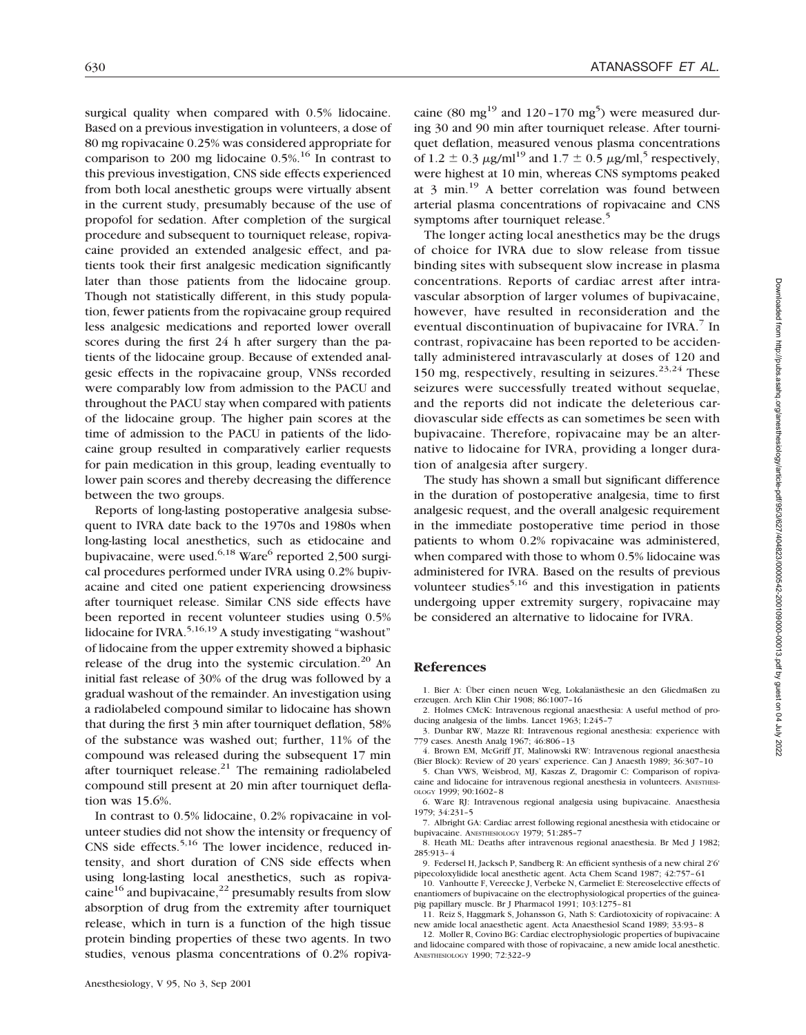surgical quality when compared with 0.5% lidocaine. Based on a previous investigation in volunteers, a dose of 80 mg ropivacaine 0.25% was considered appropriate for comparison to 200 mg lidocaine  $0.5\%$ .<sup>16</sup> In contrast to this previous investigation, CNS side effects experienced from both local anesthetic groups were virtually absent in the current study, presumably because of the use of propofol for sedation. After completion of the surgical procedure and subsequent to tourniquet release, ropivacaine provided an extended analgesic effect, and patients took their first analgesic medication significantly later than those patients from the lidocaine group. Though not statistically different, in this study population, fewer patients from the ropivacaine group required less analgesic medications and reported lower overall scores during the first 24 h after surgery than the patients of the lidocaine group. Because of extended analgesic effects in the ropivacaine group, VNSs recorded were comparably low from admission to the PACU and throughout the PACU stay when compared with patients of the lidocaine group. The higher pain scores at the time of admission to the PACU in patients of the lidocaine group resulted in comparatively earlier requests for pain medication in this group, leading eventually to lower pain scores and thereby decreasing the difference between the two groups.

Reports of long-lasting postoperative analgesia subsequent to IVRA date back to the 1970s and 1980s when long-lasting local anesthetics, such as etidocaine and bupivacaine, were used.<sup>6,18</sup> Ware<sup>6</sup> reported 2,500 surgical procedures performed under IVRA using 0.2% bupivacaine and cited one patient experiencing drowsiness after tourniquet release. Similar CNS side effects have been reported in recent volunteer studies using 0.5% lidocaine for IVRA.<sup>5,16,19</sup> A study investigating "washout" of lidocaine from the upper extremity showed a biphasic release of the drug into the systemic circulation.<sup>20</sup> An initial fast release of 30% of the drug was followed by a gradual washout of the remainder. An investigation using a radiolabeled compound similar to lidocaine has shown that during the first 3 min after tourniquet deflation, 58% of the substance was washed out; further, 11% of the compound was released during the subsequent 17 min after tourniquet release. $^{21}$  The remaining radiolabeled compound still present at 20 min after tourniquet deflation was 15.6%.

In contrast to 0.5% lidocaine, 0.2% ropivacaine in volunteer studies did not show the intensity or frequency of CNS side effects. $5,16$  The lower incidence, reduced intensity, and short duration of CNS side effects when using long-lasting local anesthetics, such as ropivacaine<sup>16</sup> and bupivacaine,<sup>22</sup> presumably results from slow absorption of drug from the extremity after tourniquet release, which in turn is a function of the high tissue protein binding properties of these two agents. In two studies, venous plasma concentrations of 0.2% ropiva-

caine (80 mg<sup>19</sup> and 120-170 mg<sup>5</sup>) were measured during 30 and 90 min after tourniquet release. After tourniquet deflation, measured venous plasma concentrations of 1.2  $\pm$  0.3  $\mu$ g/ml<sup>19</sup> and 1.7  $\pm$  0.5  $\mu$ g/ml<sub>1</sub><sup>5</sup> respectively, were highest at 10 min, whereas CNS symptoms peaked at  $3 \text{ min.}^{19}$  A better correlation was found between arterial plasma concentrations of ropivacaine and CNS symptoms after tourniquet release.<sup>5</sup>

The longer acting local anesthetics may be the drugs of choice for IVRA due to slow release from tissue binding sites with subsequent slow increase in plasma concentrations. Reports of cardiac arrest after intravascular absorption of larger volumes of bupivacaine, however, have resulted in reconsideration and the eventual discontinuation of bupivacaine for IVRA. $\frac{7}{1}$  In contrast, ropivacaine has been reported to be accidentally administered intravascularly at doses of 120 and 150 mg, respectively, resulting in seizures. $23,24$  These seizures were successfully treated without sequelae, and the reports did not indicate the deleterious cardiovascular side effects as can sometimes be seen with bupivacaine. Therefore, ropivacaine may be an alternative to lidocaine for IVRA, providing a longer duration of analgesia after surgery.

The study has shown a small but significant difference in the duration of postoperative analgesia, time to first analgesic request, and the overall analgesic requirement in the immediate postoperative time period in those patients to whom 0.2% ropivacaine was administered, when compared with those to whom 0.5% lidocaine was administered for IVRA. Based on the results of previous volunteer studies<sup>5,16</sup> and this investigation in patients undergoing upper extremity surgery, ropivacaine may be considered an alternative to lidocaine for IVRA.

#### **References**

1. Bier A: Über einen neuen Weg, Lokalanästhesie an den Gliedmaßen zu erzeugen. Arch Klin Chir 1908; 86:1007–16

2. Holmes CMcK: Intravenous regional anaesthesia: A useful method of producing analgesia of the limbs. Lancet 1963; I:245–7

3. Dunbar RW, Mazze RI: Intravenous regional anesthesia: experience with 779 cases. Anesth Analg 1967; 46:806–13

4. Brown EM, McGriff JT, Malinowski RW: Intravenous regional anaesthesia (Bier Block): Review of 20 years' experience. Can J Anaesth 1989; 36:307–10

5. Chan VWS, Weisbrod, MJ, Kaszas Z, Dragomir C: Comparison of ropivacaine and lidocaine for intravenous regional anesthesia in volunteers. ANESTHESI-OLOGY 1999; 90:1602–8

6. Ware RJ: Intravenous regional analgesia using bupivacaine. Anaesthesia 1979; 34:231–5

7. Albright GA: Cardiac arrest following regional anesthesia with etidocaine or bupivacaine. ANESTHESIOLOGY 1979; 51:285–7

8. Heath ML: Deaths after intravenous regional anaesthesia. Br Med J 1982; 285:913–4

9. Federsel H, Jacksch P, Sandberg R: An efficient synthesis of a new chiral 2'6' pipecoloxylidide local anesthetic agent. Acta Chem Scand 1987; 42:757–61

10. Vanhoutte F, Vereecke J, Verbeke N, Carmeliet E: Stereoselective effects of enantiomers of bupivacaine on the electrophysiological properties of the guineapig papillary muscle. Br J Pharmacol 1991; 103:1275–81

11. Reiz S, Haggmark S, Johansson G, Nath S: Cardiotoxicity of ropivacaine: A new amide local anaesthetic agent. Acta Anaesthesiol Scand 1989; 33:93–8

12. Moller R, Covino BG: Cardiac electrophysiologic properties of bupivacaine and lidocaine compared with those of ropivacaine, a new amide local anesthetic. ANESTHESIOLOGY 1990; 72:322–9